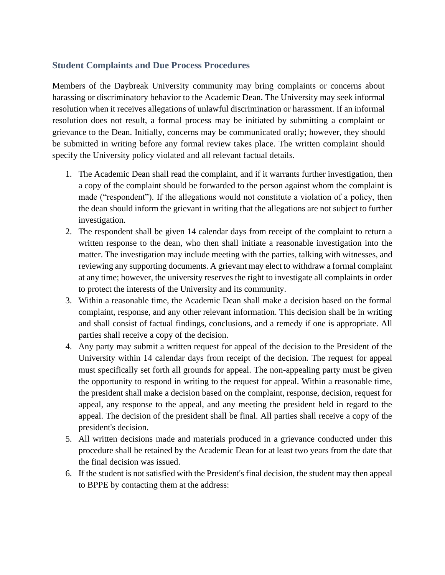## **Student Complaints and Due Process Procedures**

Members of the Daybreak University community may bring complaints or concerns about harassing or discriminatory behavior to the Academic Dean. The University may seek informal resolution when it receives allegations of unlawful discrimination or harassment. If an informal resolution does not result, a formal process may be initiated by submitting a complaint or grievance to the Dean. Initially, concerns may be communicated orally; however, they should be submitted in writing before any formal review takes place. The written complaint should specify the University policy violated and all relevant factual details.

- 1. The Academic Dean shall read the complaint, and if it warrants further investigation, then a copy of the complaint should be forwarded to the person against whom the complaint is made ("respondent"). If the allegations would not constitute a violation of a policy, then the dean should inform the grievant in writing that the allegations are not subject to further investigation.
- 2. The respondent shall be given 14 calendar days from receipt of the complaint to return a written response to the dean, who then shall initiate a reasonable investigation into the matter. The investigation may include meeting with the parties, talking with witnesses, and reviewing any supporting documents. A grievant may elect to withdraw a formal complaint at any time; however, the university reserves the right to investigate all complaints in order to protect the interests of the University and its community.
- 3. Within a reasonable time, the Academic Dean shall make a decision based on the formal complaint, response, and any other relevant information. This decision shall be in writing and shall consist of factual findings, conclusions, and a remedy if one is appropriate. All parties shall receive a copy of the decision.
- 4. Any party may submit a written request for appeal of the decision to the President of the University within 14 calendar days from receipt of the decision. The request for appeal must specifically set forth all grounds for appeal. The non-appealing party must be given the opportunity to respond in writing to the request for appeal. Within a reasonable time, the president shall make a decision based on the complaint, response, decision, request for appeal, any response to the appeal, and any meeting the president held in regard to the appeal. The decision of the president shall be final. All parties shall receive a copy of the president's decision.
- 5. All written decisions made and materials produced in a grievance conducted under this procedure shall be retained by the Academic Dean for at least two years from the date that the final decision was issued.
- 6. If the student is not satisfied with the President's final decision, the student may then appeal to BPPE by contacting them at the address: